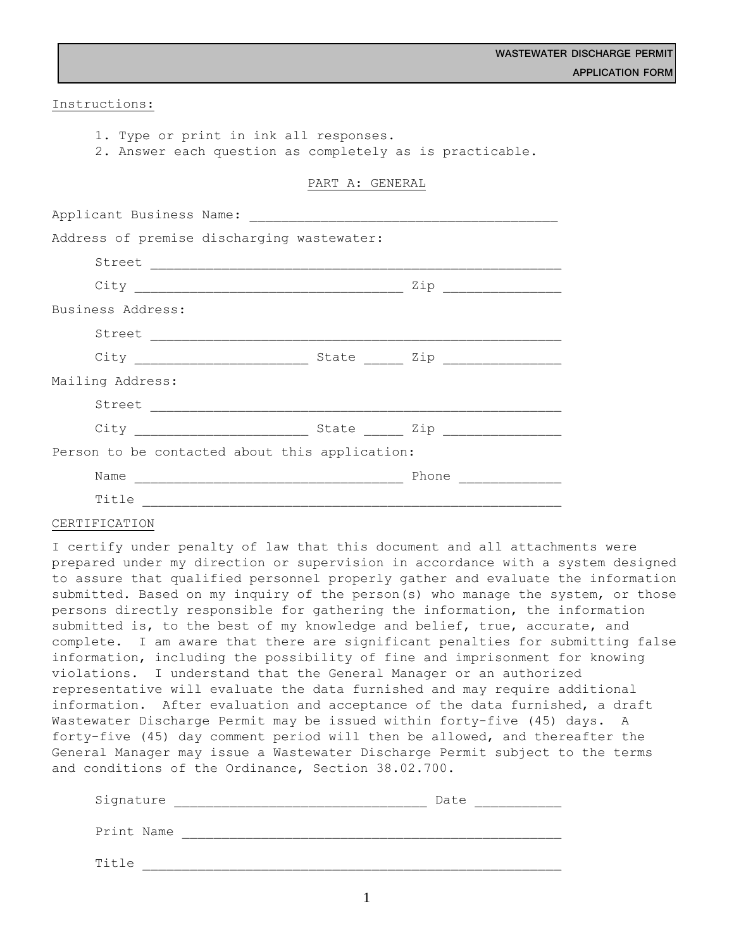Instructions:

1. Type or print in ink all responses.

2. Answer each question as completely as is practicable.

### PART A: GENERAL

| Address of premise discharging wastewater:     |                                                          |
|------------------------------------------------|----------------------------------------------------------|
|                                                |                                                          |
|                                                |                                                          |
| Business Address:                              |                                                          |
|                                                |                                                          |
|                                                |                                                          |
| Mailing Address:                               |                                                          |
|                                                |                                                          |
| City State Zip                                 |                                                          |
| Person to be contacted about this application: |                                                          |
| Name                                           | Phone<br><u> 1986 - Jan Barbarat, primeira polít</u> ica |
| Title                                          |                                                          |

### CERTIFICATION

I certify under penalty of law that this document and all attachments were prepared under my direction or supervision in accordance with a system designed to assure that qualified personnel properly gather and evaluate the information submitted. Based on my inquiry of the person(s) who manage the system, or those persons directly responsible for gathering the information, the information submitted is, to the best of my knowledge and belief, true, accurate, and complete. I am aware that there are significant penalties for submitting false information, including the possibility of fine and imprisonment for knowing violations. I understand that the General Manager or an authorized representative will evaluate the data furnished and may require additional information. After evaluation and acceptance of the data furnished, a draft Wastewater Discharge Permit may be issued within forty-five (45) days. A forty-five (45) day comment period will then be allowed, and thereafter the General Manager may issue a Wastewater Discharge Permit subject to the terms and conditions of the Ordinance, Section 38.02.700.

| Signature  | Date |
|------------|------|
| Print Name |      |
| Title      |      |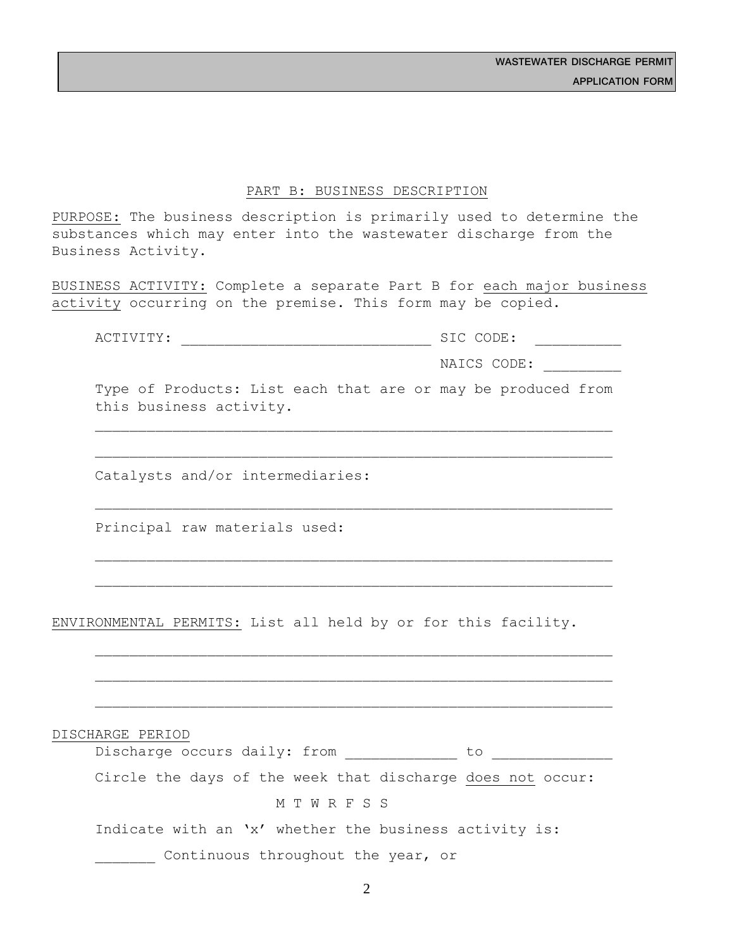### PART B: BUSINESS DESCRIPTION

PURPOSE: The business description is primarily used to determine the substances which may enter into the wastewater discharge from the Business Activity.

BUSINESS ACTIVITY: Complete a separate Part B for each major business activity occurring on the premise. This form may be copied.

ACTIVITY: \_\_\_\_\_\_\_\_\_\_\_\_\_\_\_\_\_\_\_\_\_\_\_\_\_\_\_\_\_ SIC CODE: \_\_\_\_\_\_\_\_\_\_

NAICS CODE:

Type of Products: List each that are or may be produced from this business activity.

Catalysts and/or intermediaries:

Principal raw materials used:

ENVIRONMENTAL PERMITS: List all held by or for this facility.

DISCHARGE PERIOD

| Discharge occurs daily: from |  |  |  |
|------------------------------|--|--|--|
|------------------------------|--|--|--|

Circle the days of the week that discharge does not occur:

# M T W R F S S

Indicate with an 'x' whether the business activity is:

Continuous throughout the year, or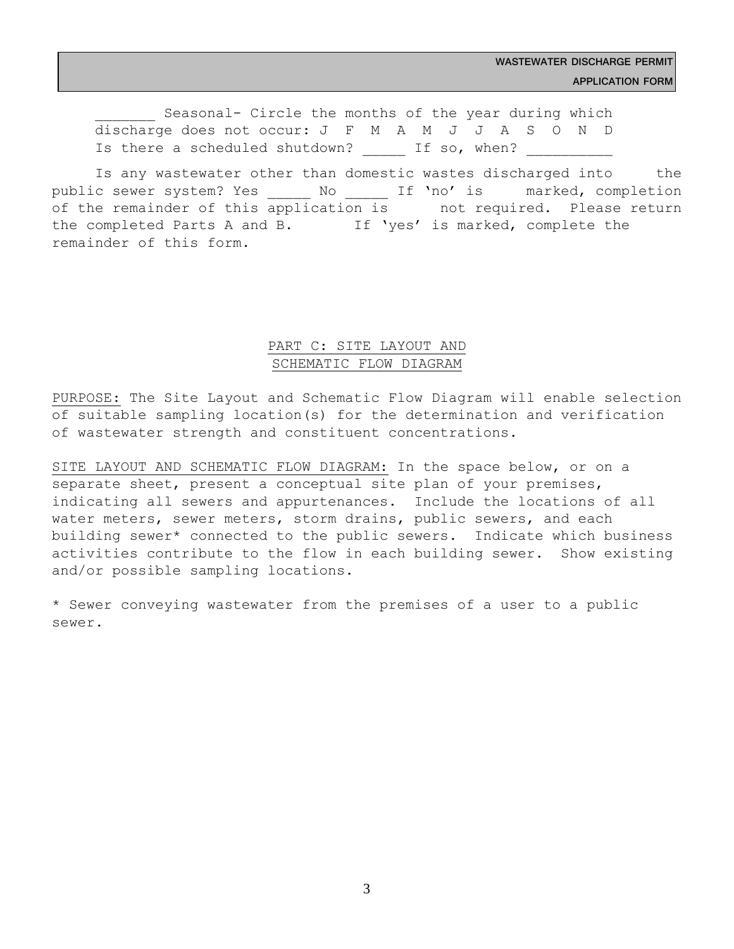**WASTEWATER DISCHARGE PERMIT APPLICATION FORM**

Seasonal- Circle the months of the year during which discharge does not occur: J F M A M J J A S O N D Is there a scheduled shutdown? If so, when?

Is any wastewater other than domestic wastes discharged into the public sewer system? Yes \_\_\_\_\_ No \_\_\_\_\_ If 'no' is \_\_\_ marked, completion of the remainder of this application is not required. Please return the completed Parts A and B. If 'yes' is marked, complete the remainder of this form.

## PART C: SITE LAYOUT AND SCHEMATIC FLOW DIAGRAM

PURPOSE: The Site Layout and Schematic Flow Diagram will enable selection of suitable sampling location(s) for the determination and verification of wastewater strength and constituent concentrations.

SITE LAYOUT AND SCHEMATIC FLOW DIAGRAM: In the space below, or on a separate sheet, present a conceptual site plan of your premises, indicating all sewers and appurtenances. Include the locations of all water meters, sewer meters, storm drains, public sewers, and each building sewer\* connected to the public sewers. Indicate which business activities contribute to the flow in each building sewer. Show existing and/or possible sampling locations.

\* Sewer conveying wastewater from the premises of a user to a public sewer.

3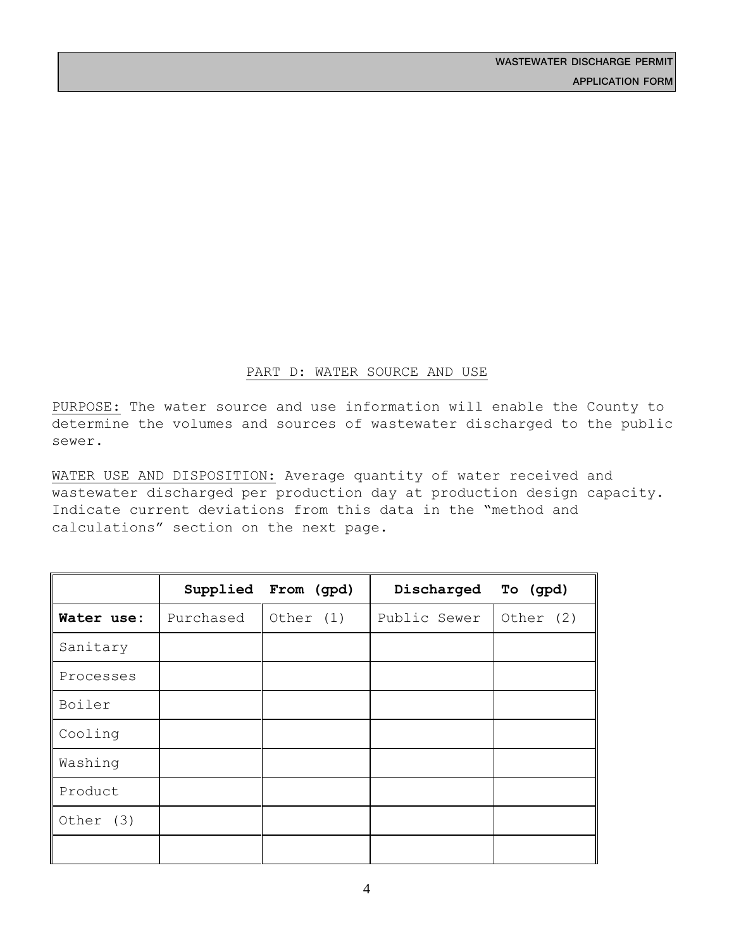## PART D: WATER SOURCE AND USE

PURPOSE: The water source and use information will enable the County to determine the volumes and sources of wastewater discharged to the public sewer.

WATER USE AND DISPOSITION: Average quantity of water received and wastewater discharged per production day at production design capacity. Indicate current deviations from this data in the "method and calculations" section on the next page.

|            |           | Supplied From (gpd) | Discharged   | To (gpd)  |
|------------|-----------|---------------------|--------------|-----------|
| Water use: | Purchased | Other (1)           | Public Sewer | Other (2) |
| Sanitary   |           |                     |              |           |
| Processes  |           |                     |              |           |
| Boiler     |           |                     |              |           |
| Cooling    |           |                     |              |           |
| Washing    |           |                     |              |           |
| Product    |           |                     |              |           |
| Other (3)  |           |                     |              |           |
|            |           |                     |              |           |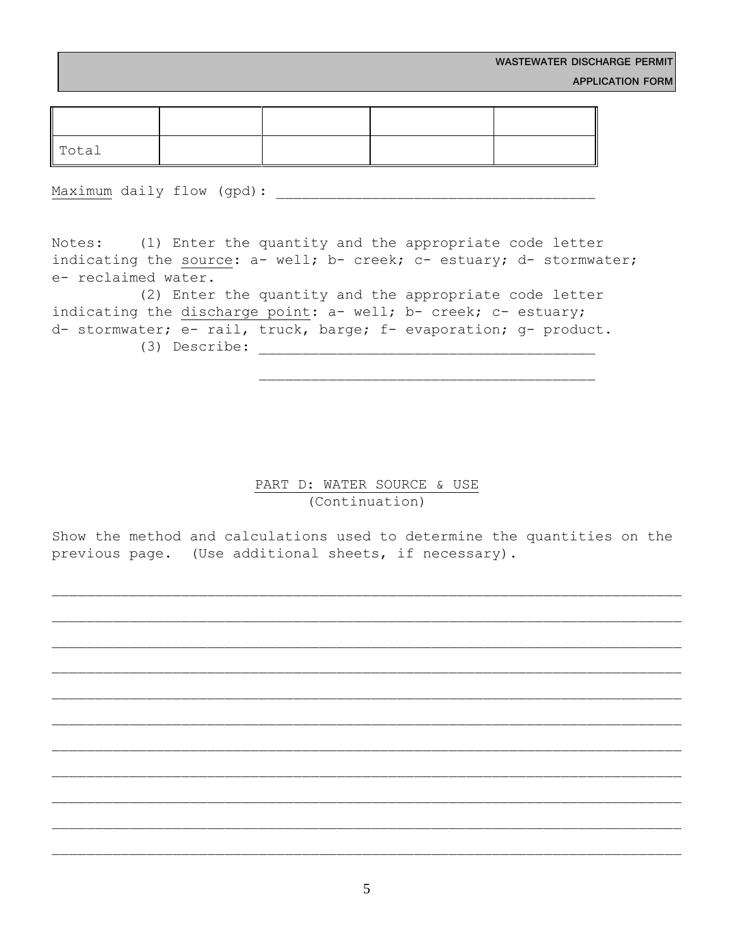| Total |  |  |
|-------|--|--|

Maximum daily flow (gpd):

Notes: (1) Enter the quantity and the appropriate code letter indicating the source: a- well; b- creek; c- estuary; d- stormwater; e- reclaimed water.

 (2) Enter the quantity and the appropriate code letter indicating the discharge point: a- well; b- creek; c- estuary; d- stormwater; e- rail, truck, barge; f- evaporation; g- product. (3) Describe:

> PART D: WATER SOURCE & USE (Continuation)

Show the method and calculations used to determine the quantities on the previous page. (Use additional sheets, if necessary).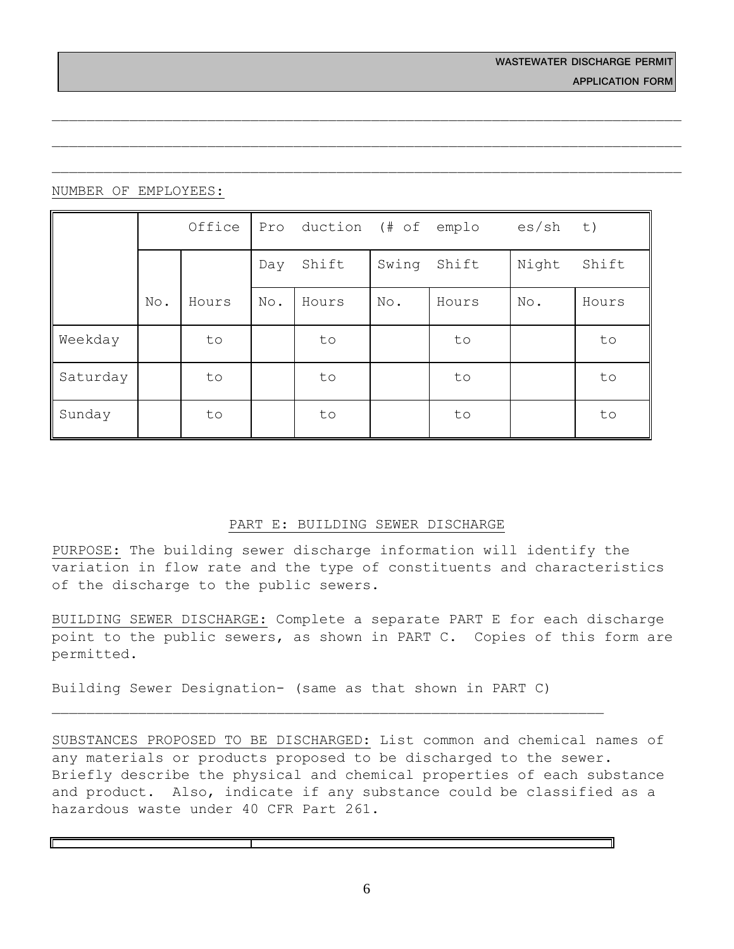## NUMBER OF EMPLOYEES:

|          |     | Office | Pro | duction (# of emplo |       |       | es/sh | t)    |
|----------|-----|--------|-----|---------------------|-------|-------|-------|-------|
|          |     |        | Day | Shift               | Swing | Shift | Night | Shift |
|          | No. | Hours  | No. | Hours               | No.   | Hours | No.   | Hours |
| Weekday  |     | to     |     | to                  |       | to    |       | to    |
| Saturday |     | to     |     | to                  |       | to    |       | to    |
| Sunday   |     | to     |     | to                  |       | to    |       | to    |

## PART E: BUILDING SEWER DISCHARGE

PURPOSE: The building sewer discharge information will identify the variation in flow rate and the type of constituents and characteristics of the discharge to the public sewers.

BUILDING SEWER DISCHARGE: Complete a separate PART E for each discharge point to the public sewers, as shown in PART C. Copies of this form are permitted.

Building Sewer Designation- (same as that shown in PART C)

SUBSTANCES PROPOSED TO BE DISCHARGED: List common and chemical names of any materials or products proposed to be discharged to the sewer. Briefly describe the physical and chemical properties of each substance and product. Also, indicate if any substance could be classified as a hazardous waste under 40 CFR Part 261.

6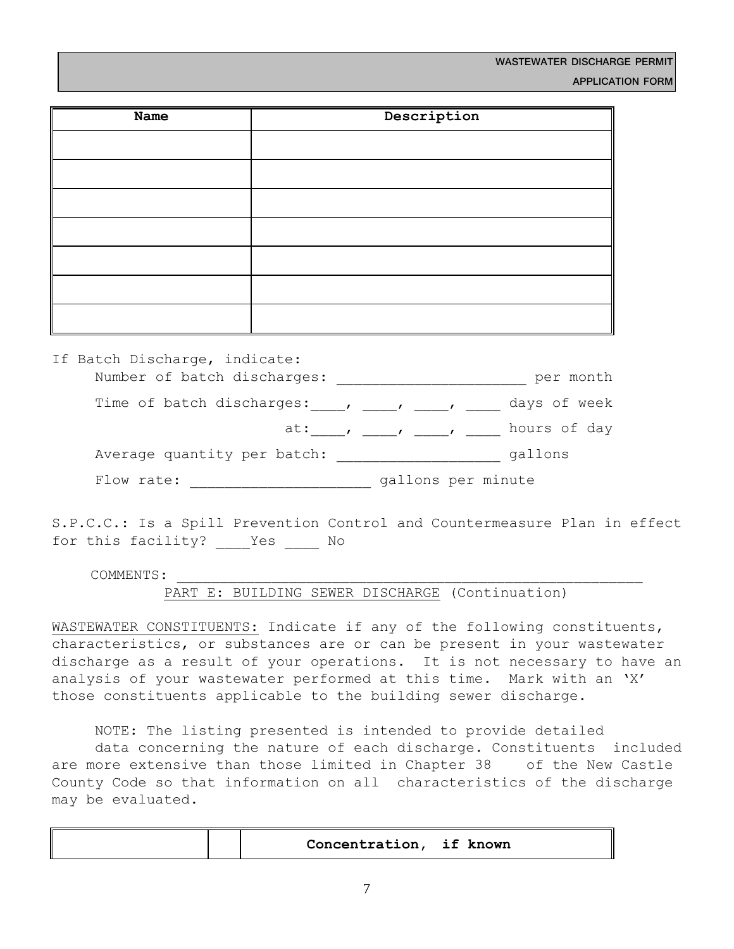| Name | Description |
|------|-------------|
|      |             |
|      |             |
|      |             |
|      |             |
|      |             |
|      |             |
|      |             |

| If Batch Discharge, indicate: |                                                                     |                    |              |
|-------------------------------|---------------------------------------------------------------------|--------------------|--------------|
| Number of batch discharges:   |                                                                     |                    | per month    |
|                               |                                                                     |                    | days of week |
|                               | at: $\qquad \qquad$ $\qquad \qquad$ $\qquad \qquad$ $\qquad \qquad$ |                    | hours of day |
| Average quantity per batch:   |                                                                     |                    | gallons      |
| Flow rate:                    |                                                                     | gallons per minute |              |

S.P.C.C.: Is a Spill Prevention Control and Countermeasure Plan in effect for this facility? Yes No

COMMENTS:

PART E: BUILDING SEWER DISCHARGE (Continuation)

WASTEWATER CONSTITUENTS: Indicate if any of the following constituents, characteristics, or substances are or can be present in your wastewater discharge as a result of your operations. It is not necessary to have an analysis of your wastewater performed at this time. Mark with an 'X' those constituents applicable to the building sewer discharge.

NOTE: The listing presented is intended to provide detailed data concerning the nature of each discharge. Constituents included are more extensive than those limited in Chapter 38 of the New Castle County Code so that information on all characteristics of the discharge may be evaluated.

| Concentration, if known |  |
|-------------------------|--|
|-------------------------|--|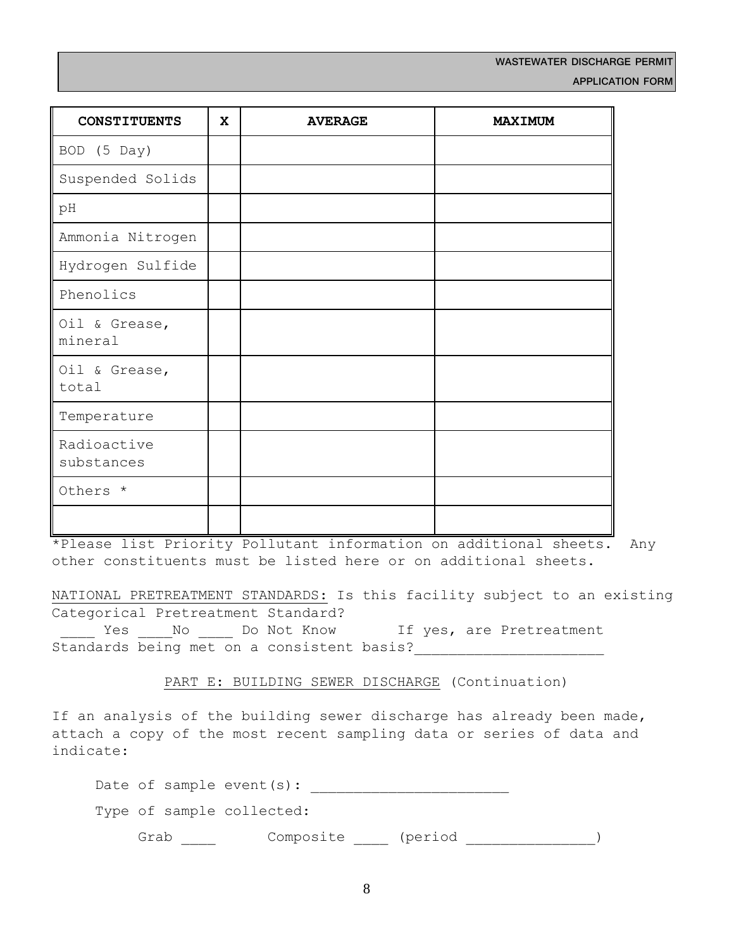| <b>CONSTITUENTS</b>       | X | <b>AVERAGE</b> | <b>MAXIMUM</b> |
|---------------------------|---|----------------|----------------|
| BOD (5 Day)               |   |                |                |
| Suspended Solids          |   |                |                |
| pH                        |   |                |                |
| Ammonia Nitrogen          |   |                |                |
| Hydrogen Sulfide          |   |                |                |
| Phenolics                 |   |                |                |
| Oil & Grease,<br>mineral  |   |                |                |
| Oil & Grease,<br>total    |   |                |                |
| Temperature               |   |                |                |
| Radioactive<br>substances |   |                |                |
| Others *                  |   |                |                |
|                           |   |                |                |

\*Please list Priority Pollutant information on additional sheets. Any other constituents must be listed here or on additional sheets.

NATIONAL PRETREATMENT STANDARDS: Is this facility subject to an existing Categorical Pretreatment Standard? Last Yes \_\_\_\_\_No \_\_\_\_\_ Do Not Know if yes, are Pretreatment

Standards being met on a consistent basis?

PART E: BUILDING SEWER DISCHARGE (Continuation)

If an analysis of the building sewer discharge has already been made, attach a copy of the most recent sampling data or series of data and indicate:

| Grab | Composite                    | (period |  |  |
|------|------------------------------|---------|--|--|
|      | Type of sample collected:    |         |  |  |
|      | Date of sample event $(s)$ : |         |  |  |